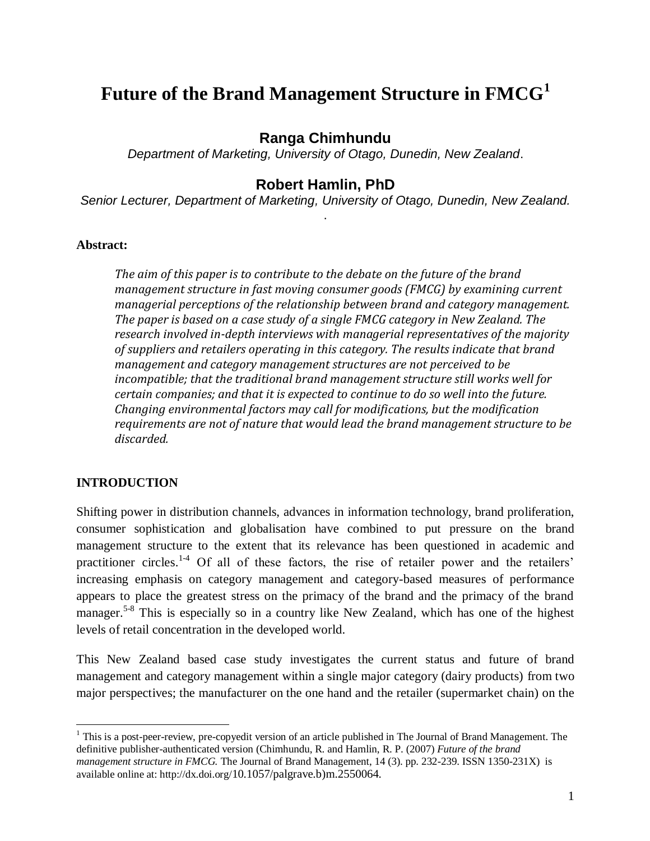# **Future of the Brand Management Structure in FMCG<sup>1</sup>**

# **Ranga Chimhundu**

*Department of Marketing, University of Otago, Dunedin, New Zealand*.

# **Robert Hamlin, PhD**

*Senior Lecturer, Department of Marketing, University of Otago, Dunedin, New Zealand.* .

#### **Abstract:**

*The aim of this paper is to contribute to the debate on the future of the brand management structure in fast moving consumer goods (FMCG) by examining current managerial perceptions of the relationship between brand and category management. The paper is based on a case study of a single FMCG category in New Zealand. The research involved in-depth interviews with managerial representatives of the majority of suppliers and retailers operating in this category. The results indicate that brand management and category management structures are not perceived to be incompatible; that the traditional brand management structure still works well for certain companies; and that it is expected to continue to do so well into the future. Changing environmental factors may call for modifications, but the modification requirements are not of nature that would lead the brand management structure to be discarded.*

## **INTRODUCTION**

 $\overline{a}$ 

Shifting power in distribution channels, advances in information technology, brand proliferation, consumer sophistication and globalisation have combined to put pressure on the brand management structure to the extent that its relevance has been questioned in academic and practitioner circles.<sup>1-4</sup> Of all of these factors, the rise of retailer power and the retailers' increasing emphasis on category management and category-based measures of performance appears to place the greatest stress on the primacy of the brand and the primacy of the brand manager.<sup>5-8</sup> This is especially so in a country like New Zealand, which has one of the highest levels of retail concentration in the developed world.

This New Zealand based case study investigates the current status and future of brand management and category management within a single major category (dairy products) from two major perspectives; the manufacturer on the one hand and the retailer (supermarket chain) on the

 $<sup>1</sup>$  This is a post-peer-review, pre-copyedit version of an article published in The Journal of Brand Management. The</sup> definitive publisher-authenticated version (Chimhundu, R. and Hamlin, R. P. (2007) *Future of the brand management structure in FMCG.* The Journal of Brand Management, 14 (3). pp. 232-239. ISSN 1350-231X) is available online at: http://dx.doi.org/10.1057/palgrave.b)m.2550064.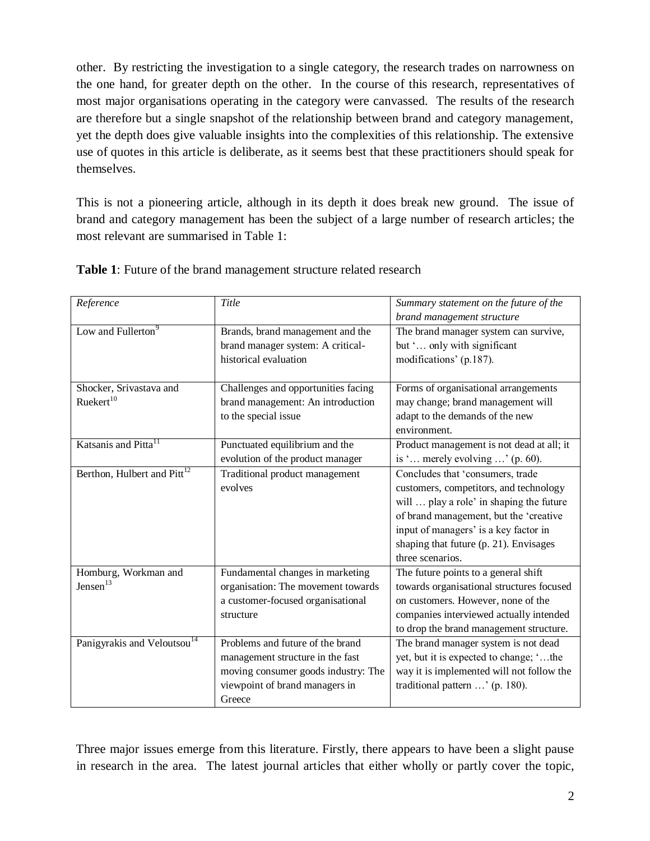other. By restricting the investigation to a single category, the research trades on narrowness on the one hand, for greater depth on the other. In the course of this research, representatives of most major organisations operating in the category were canvassed. The results of the research are therefore but a single snapshot of the relationship between brand and category management, yet the depth does give valuable insights into the complexities of this relationship. The extensive use of quotes in this article is deliberate, as it seems best that these practitioners should speak for themselves.

This is not a pioneering article, although in its depth it does break new ground. The issue of brand and category management has been the subject of a large number of research articles; the most relevant are summarised in Table 1:

| Reference                               | Title                               | Summary statement on the future of the            |
|-----------------------------------------|-------------------------------------|---------------------------------------------------|
|                                         |                                     | brand management structure                        |
| Low and Fullerton <sup>9</sup>          | Brands, brand management and the    | The brand manager system can survive,             |
|                                         | brand manager system: A critical-   | but ' only with significant                       |
|                                         | historical evaluation               | modifications' (p.187).                           |
|                                         |                                     |                                                   |
| Shocker, Srivastava and                 | Challenges and opportunities facing | Forms of organisational arrangements              |
| Ruekert <sup>10</sup>                   | brand management: An introduction   | may change; brand management will                 |
|                                         | to the special issue                | adapt to the demands of the new                   |
|                                         |                                     | environment.                                      |
| Katsanis and Pitta <sup>11</sup>        | Punctuated equilibrium and the      | Product management is not dead at all; it         |
|                                         | evolution of the product manager    | is $\cdot \dots$ merely evolving $\dots$ (p. 60). |
| Berthon, Hulbert and Pitt <sup>12</sup> | Traditional product management      | Concludes that 'consumers, trade                  |
|                                         | evolves                             | customers, competitors, and technology            |
|                                         |                                     | will  play a role' in shaping the future          |
|                                         |                                     | of brand management, but the 'creative            |
|                                         |                                     | input of managers' is a key factor in             |
|                                         |                                     | shaping that future (p. 21). Envisages            |
|                                         |                                     | three scenarios.                                  |
| Homburg, Workman and                    | Fundamental changes in marketing    | The future points to a general shift              |
| Jensen <sup>13</sup>                    | organisation: The movement towards  | towards organisational structures focused         |
|                                         | a customer-focused organisational   | on customers. However, none of the                |
|                                         | structure                           | companies interviewed actually intended           |
|                                         |                                     | to drop the brand management structure.           |
| Panigyrakis and Veloutsou <sup>14</sup> | Problems and future of the brand    | The brand manager system is not dead              |
|                                         | management structure in the fast    | yet, but it is expected to change; 'the           |
|                                         | moving consumer goods industry: The | way it is implemented will not follow the         |
|                                         | viewpoint of brand managers in      | traditional pattern ' (p. 180).                   |
|                                         | Greece                              |                                                   |

## **Table 1**: Future of the brand management structure related research

 Three major issues emerge from this literature. Firstly, there appears to have been a slight pause in research in the area. The latest journal articles that either wholly or partly cover the topic,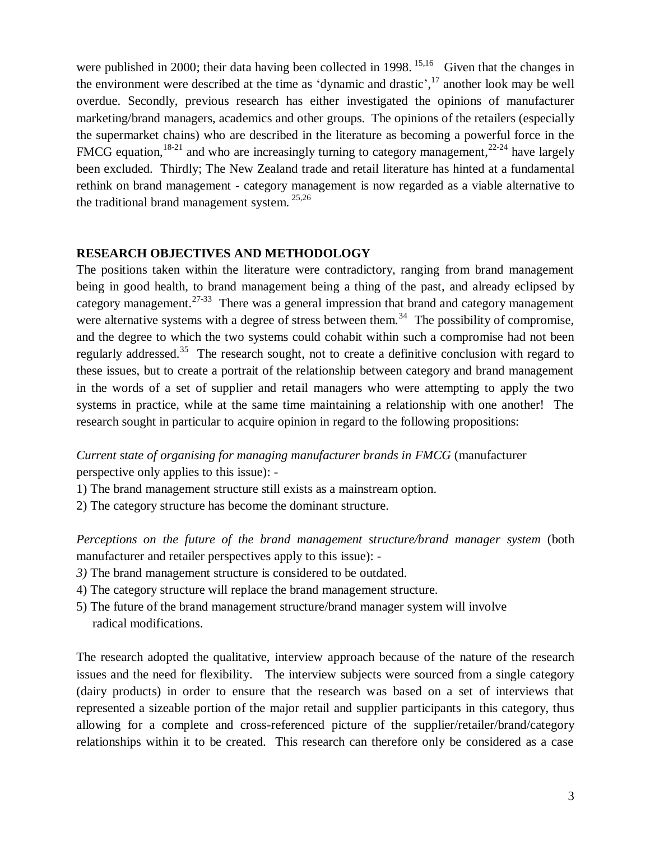were published in 2000; their data having been collected in 1998.  $15,16$  Given that the changes in the environment were described at the time as 'dynamic and drastic', $^{17}$  another look may be well overdue. Secondly, previous research has either investigated the opinions of manufacturer marketing/brand managers, academics and other groups. The opinions of the retailers (especially the supermarket chains) who are described in the literature as becoming a powerful force in the FMCG equation,  $18-21$  and who are increasingly turning to category management,  $22-24$  have largely been excluded. Thirdly; The New Zealand trade and retail literature has hinted at a fundamental rethink on brand management - category management is now regarded as a viable alternative to the traditional brand management system. 25,26

## **RESEARCH OBJECTIVES AND METHODOLOGY**

The positions taken within the literature were contradictory, ranging from brand management being in good health, to brand management being a thing of the past, and already eclipsed by category management.<sup>27-33</sup> There was a general impression that brand and category management were alternative systems with a degree of stress between them.<sup>34</sup> The possibility of compromise, and the degree to which the two systems could cohabit within such a compromise had not been regularly addressed.<sup>35</sup> The research sought, not to create a definitive conclusion with regard to these issues, but to create a portrait of the relationship between category and brand management in the words of a set of supplier and retail managers who were attempting to apply the two systems in practice, while at the same time maintaining a relationship with one another! The research sought in particular to acquire opinion in regard to the following propositions:

*Current state of organising for managing manufacturer brands in FMCG* (manufacturer perspective only applies to this issue): -

1) The brand management structure still exists as a mainstream option.

2) The category structure has become the dominant structure.

*Perceptions on the future of the brand management structure/brand manager system* (both manufacturer and retailer perspectives apply to this issue): -

- *3)* The brand management structure is considered to be outdated.
- 4) The category structure will replace the brand management structure.
- 5) The future of the brand management structure/brand manager system will involve radical modifications.

The research adopted the qualitative, interview approach because of the nature of the research issues and the need for flexibility. The interview subjects were sourced from a single category (dairy products) in order to ensure that the research was based on a set of interviews that represented a sizeable portion of the major retail and supplier participants in this category, thus allowing for a complete and cross-referenced picture of the supplier/retailer/brand/category relationships within it to be created. This research can therefore only be considered as a case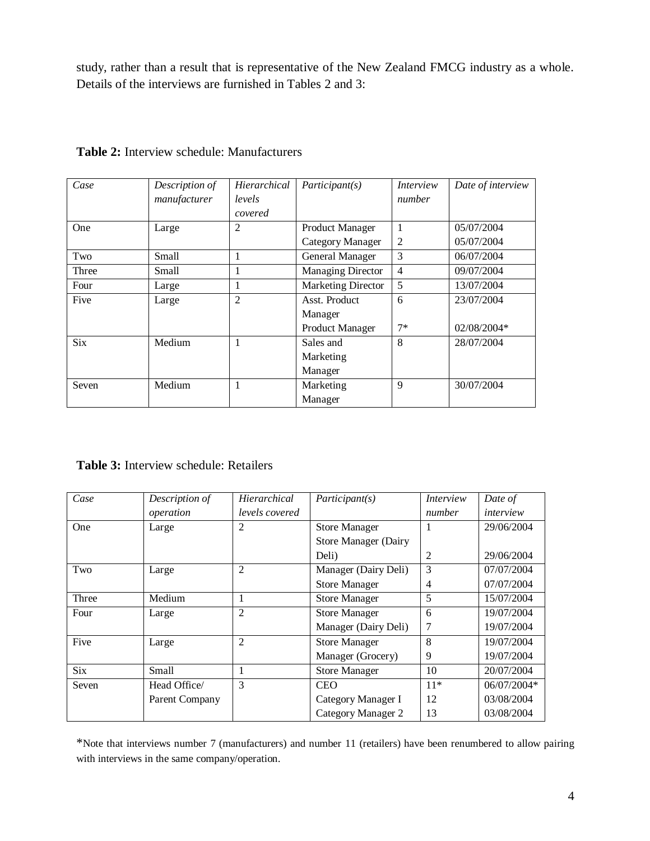study, rather than a result that is representative of the New Zealand FMCG industry as a whole. Details of the interviews are furnished in Tables 2 and 3:

| Case       | Description of | Hierarchical | Participant(s)         | <i>Interview</i> | Date of interview |
|------------|----------------|--------------|------------------------|------------------|-------------------|
|            | manufacturer   | levels       |                        | number           |                   |
|            |                | covered      |                        |                  |                   |
| <b>One</b> | Large          | 2            | <b>Product Manager</b> |                  | 05/07/2004        |
|            |                |              | Category Manager       | $\overline{2}$   | 05/07/2004        |
| Two        | Small          | 1            | General Manager        | 3                | 06/07/2004        |
| Three      | Small          | 1            | Managing Director      | $\overline{4}$   | 09/07/2004        |
| Four       | Large          | 1            | Marketing Director     | 5                | 13/07/2004        |
| Five       | Large          | 2            | Asst. Product          | 6                | 23/07/2004        |
|            |                |              | Manager                |                  |                   |
|            |                |              | <b>Product Manager</b> | $7*$             | 02/08/2004*       |
| <b>Six</b> | Medium         | 1            | Sales and              | 8                | 28/07/2004        |
|            |                |              | Marketing              |                  |                   |
|            |                |              | Manager                |                  |                   |
| Seven      | Medium         | 1            | Marketing              | 9                | 30/07/2004        |
|            |                |              | Manager                |                  |                   |

#### **Table 2:** Interview schedule: Manufacturers

## **Table 3:** Interview schedule: Retailers

| Case       | Description of | Hierarchical   | Participant(s)              | <b>Interview</b> | Date of     |
|------------|----------------|----------------|-----------------------------|------------------|-------------|
|            | operation      | levels covered |                             | number           | interview   |
| One        | Large          | 2              | <b>Store Manager</b>        | 1                | 29/06/2004  |
|            |                |                | <b>Store Manager (Dairy</b> |                  |             |
|            |                |                | Deli)                       | 2                | 29/06/2004  |
| Two        | Large          | $\overline{c}$ | Manager (Dairy Deli)        | 3                | 07/07/2004  |
|            |                |                | <b>Store Manager</b>        | 4                | 07/07/2004  |
| Three      | Medium         |                | <b>Store Manager</b>        | 5                | 15/07/2004  |
| Four       | Large          | 2              | <b>Store Manager</b>        | 6                | 19/07/2004  |
|            |                |                | Manager (Dairy Deli)        | 7                | 19/07/2004  |
| Five       | Large          | $\overline{c}$ | <b>Store Manager</b>        | 8                | 19/07/2004  |
|            |                |                | Manager (Grocery)           | 9                | 19/07/2004  |
| <b>Six</b> | Small          | 1              | <b>Store Manager</b>        | 10               | 20/07/2004  |
| Seven      | Head Office/   | 3              | <b>CEO</b>                  | $11*$            | 06/07/2004* |
|            | Parent Company |                | Category Manager I          | 12               | 03/08/2004  |
|            |                |                | Category Manager 2          | 13               | 03/08/2004  |

\*Note that interviews number 7 (manufacturers) and number 11 (retailers) have been renumbered to allow pairing with interviews in the same company/operation.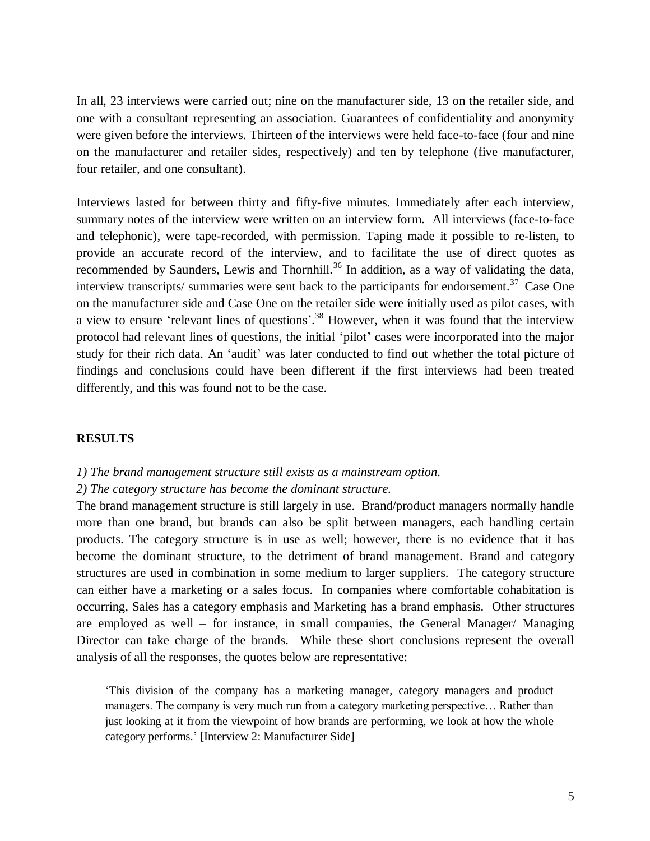In all, 23 interviews were carried out; nine on the manufacturer side, 13 on the retailer side, and one with a consultant representing an association. Guarantees of confidentiality and anonymity were given before the interviews. Thirteen of the interviews were held face-to-face (four and nine on the manufacturer and retailer sides, respectively) and ten by telephone (five manufacturer, four retailer, and one consultant).

Interviews lasted for between thirty and fifty-five minutes. Immediately after each interview, summary notes of the interview were written on an interview form. All interviews (face-to-face and telephonic), were tape-recorded, with permission. Taping made it possible to re-listen, to provide an accurate record of the interview, and to facilitate the use of direct quotes as recommended by Saunders, Lewis and Thornhill.<sup>36</sup> In addition, as a way of validating the data, interview transcripts/ summaries were sent back to the participants for endorsement.<sup>37</sup> Case One on the manufacturer side and Case One on the retailer side were initially used as pilot cases, with a view to ensure 'relevant lines of questions'.<sup>38</sup> However, when it was found that the interview protocol had relevant lines of questions, the initial "pilot" cases were incorporated into the major study for their rich data. An "audit" was later conducted to find out whether the total picture of findings and conclusions could have been different if the first interviews had been treated differently, and this was found not to be the case.

#### **RESULTS**

#### *1) The brand management structure still exists as a mainstream option.*

#### *2) The category structure has become the dominant structure.*

The brand management structure is still largely in use. Brand/product managers normally handle more than one brand, but brands can also be split between managers, each handling certain products. The category structure is in use as well; however, there is no evidence that it has become the dominant structure, to the detriment of brand management. Brand and category structures are used in combination in some medium to larger suppliers. The category structure can either have a marketing or a sales focus. In companies where comfortable cohabitation is occurring, Sales has a category emphasis and Marketing has a brand emphasis. Other structures are employed as well – for instance, in small companies, the General Manager/ Managing Director can take charge of the brands. While these short conclusions represent the overall analysis of all the responses, the quotes below are representative:

"This division of the company has a marketing manager, category managers and product managers. The company is very much run from a category marketing perspective… Rather than just looking at it from the viewpoint of how brands are performing, we look at how the whole category performs." [Interview 2: Manufacturer Side]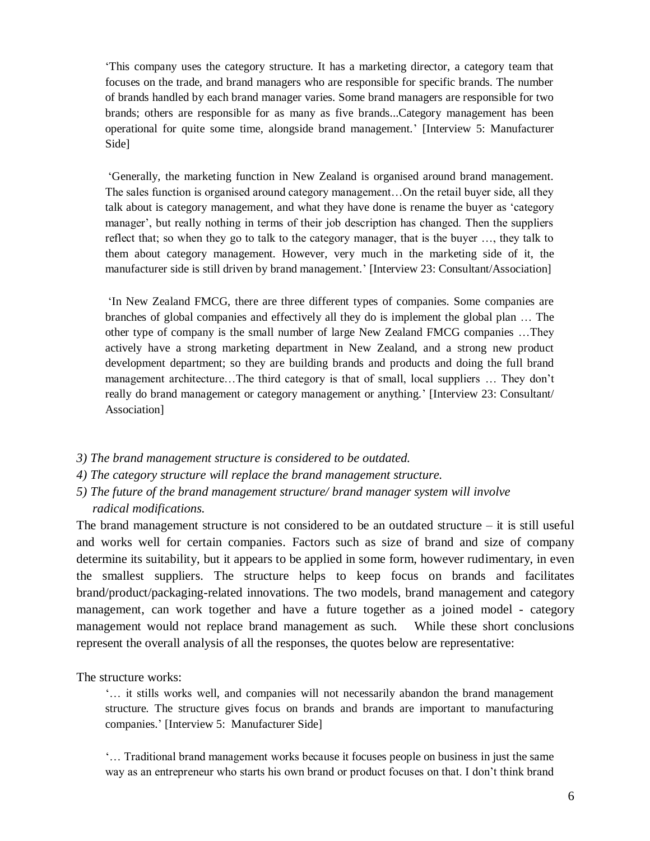"This company uses the category structure. It has a marketing director, a category team that focuses on the trade, and brand managers who are responsible for specific brands. The number of brands handled by each brand manager varies. Some brand managers are responsible for two brands; others are responsible for as many as five brands...Category management has been operational for quite some time, alongside brand management." [Interview 5: Manufacturer Side]

"Generally, the marketing function in New Zealand is organised around brand management. The sales function is organised around category management…On the retail buyer side, all they talk about is category management, and what they have done is rename the buyer as "category manager", but really nothing in terms of their job description has changed. Then the suppliers reflect that; so when they go to talk to the category manager, that is the buyer …, they talk to them about category management. However, very much in the marketing side of it, the manufacturer side is still driven by brand management.' [Interview 23: Consultant/Association]

"In New Zealand FMCG, there are three different types of companies. Some companies are branches of global companies and effectively all they do is implement the global plan … The other type of company is the small number of large New Zealand FMCG companies …They actively have a strong marketing department in New Zealand, and a strong new product development department; so they are building brands and products and doing the full brand management architecture…The third category is that of small, local suppliers … They don"t really do brand management or category management or anything." [Interview 23: Consultant/ Association]

- *3) The brand management structure is considered to be outdated.*
- *4) The category structure will replace the brand management structure.*
- *5) The future of the brand management structure/ brand manager system will involve radical modifications.*

The brand management structure is not considered to be an outdated structure – it is still useful and works well for certain companies. Factors such as size of brand and size of company determine its suitability, but it appears to be applied in some form, however rudimentary, in even the smallest suppliers. The structure helps to keep focus on brands and facilitates brand/product/packaging-related innovations. The two models, brand management and category management, can work together and have a future together as a joined model - category management would not replace brand management as such. While these short conclusions represent the overall analysis of all the responses, the quotes below are representative:

The structure works:

 "… it stills works well, and companies will not necessarily abandon the brand management structure. The structure gives focus on brands and brands are important to manufacturing companies." [Interview 5: Manufacturer Side]

 "… Traditional brand management works because it focuses people on business in just the same way as an entrepreneur who starts his own brand or product focuses on that. I don"t think brand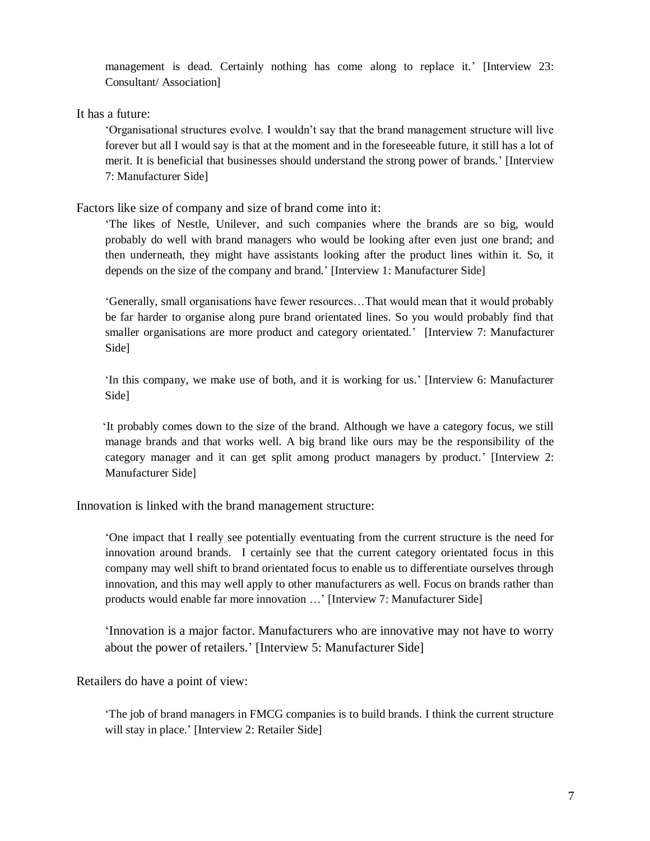management is dead. Certainly nothing has come along to replace it.' [Interview 23: Consultant/ Association]

It has a future:

"Organisational structures evolve. I wouldn"t say that the brand management structure will live forever but all I would say is that at the moment and in the foreseeable future, it still has a lot of merit. It is beneficial that businesses should understand the strong power of brands." [Interview 7: Manufacturer Side]

Factors like size of company and size of brand come into it:

"The likes of Nestle, Unilever, and such companies where the brands are so big, would probably do well with brand managers who would be looking after even just one brand; and then underneath, they might have assistants looking after the product lines within it. So, it depends on the size of the company and brand." [Interview 1: Manufacturer Side]

"Generally, small organisations have fewer resources…That would mean that it would probably be far harder to organise along pure brand orientated lines. So you would probably find that smaller organisations are more product and category orientated.' [Interview 7: Manufacturer Side]

'In this company, we make use of both, and it is working for us.' [Interview 6: Manufacturer Side]

 "It probably comes down to the size of the brand. Although we have a category focus, we still manage brands and that works well. A big brand like ours may be the responsibility of the category manager and it can get split among product managers by product." [Interview 2: Manufacturer Side]

Innovation is linked with the brand management structure:

"One impact that I really see potentially eventuating from the current structure is the need for innovation around brands. I certainly see that the current category orientated focus in this company may well shift to brand orientated focus to enable us to differentiate ourselves through innovation, and this may well apply to other manufacturers as well. Focus on brands rather than products would enable far more innovation …" [Interview 7: Manufacturer Side]

"Innovation is a major factor. Manufacturers who are innovative may not have to worry about the power of retailers." [Interview 5: Manufacturer Side]

Retailers do have a point of view:

"The job of brand managers in FMCG companies is to build brands. I think the current structure will stay in place.' [Interview 2: Retailer Side]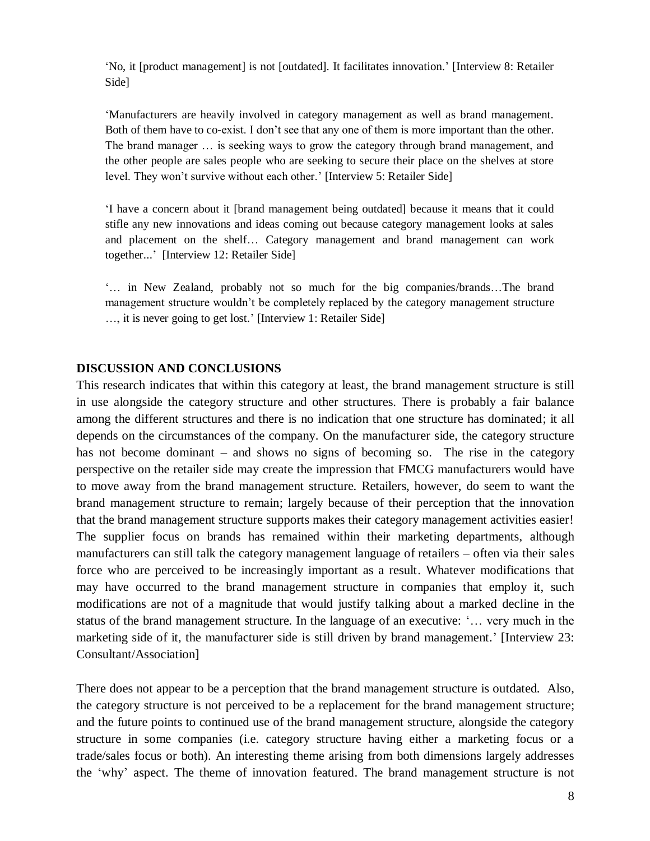"No, it [product management] is not [outdated]. It facilitates innovation." [Interview 8: Retailer Side]

"Manufacturers are heavily involved in category management as well as brand management. Both of them have to co-exist. I don't see that any one of them is more important than the other. The brand manager … is seeking ways to grow the category through brand management, and the other people are sales people who are seeking to secure their place on the shelves at store level. They won"t survive without each other." [Interview 5: Retailer Side]

"I have a concern about it [brand management being outdated] because it means that it could stifle any new innovations and ideas coming out because category management looks at sales and placement on the shelf… Category management and brand management can work together..." [Interview 12: Retailer Side]

"… in New Zealand, probably not so much for the big companies/brands…The brand management structure wouldn"t be completely replaced by the category management structure …, it is never going to get lost." [Interview 1: Retailer Side]

#### **DISCUSSION AND CONCLUSIONS**

This research indicates that within this category at least, the brand management structure is still in use alongside the category structure and other structures. There is probably a fair balance among the different structures and there is no indication that one structure has dominated; it all depends on the circumstances of the company. On the manufacturer side, the category structure has not become dominant – and shows no signs of becoming so. The rise in the category perspective on the retailer side may create the impression that FMCG manufacturers would have to move away from the brand management structure. Retailers, however, do seem to want the brand management structure to remain; largely because of their perception that the innovation that the brand management structure supports makes their category management activities easier! The supplier focus on brands has remained within their marketing departments, although manufacturers can still talk the category management language of retailers – often via their sales force who are perceived to be increasingly important as a result. Whatever modifications that may have occurred to the brand management structure in companies that employ it, such modifications are not of a magnitude that would justify talking about a marked decline in the status of the brand management structure. In the language of an executive: "… very much in the marketing side of it, the manufacturer side is still driven by brand management.' [Interview 23: Consultant/Association]

There does not appear to be a perception that the brand management structure is outdated. Also, the category structure is not perceived to be a replacement for the brand management structure; and the future points to continued use of the brand management structure, alongside the category structure in some companies (i.e. category structure having either a marketing focus or a trade/sales focus or both). An interesting theme arising from both dimensions largely addresses the "why" aspect. The theme of innovation featured. The brand management structure is not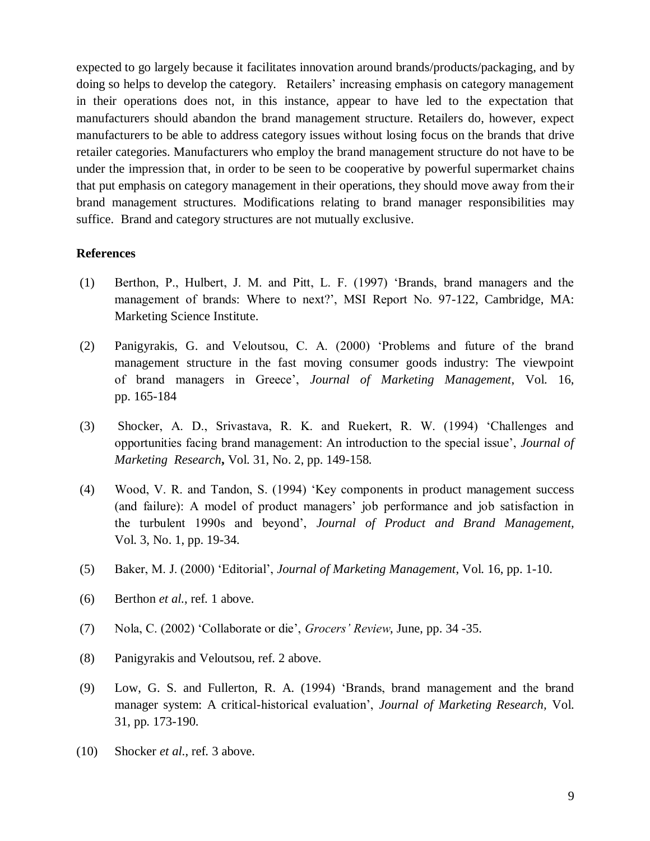expected to go largely because it facilitates innovation around brands/products/packaging, and by doing so helps to develop the category. Retailers' increasing emphasis on category management in their operations does not, in this instance, appear to have led to the expectation that manufacturers should abandon the brand management structure. Retailers do, however, expect manufacturers to be able to address category issues without losing focus on the brands that drive retailer categories. Manufacturers who employ the brand management structure do not have to be under the impression that, in order to be seen to be cooperative by powerful supermarket chains that put emphasis on category management in their operations, they should move away from their brand management structures. Modifications relating to brand manager responsibilities may suffice. Brand and category structures are not mutually exclusive.

#### **References**

- (1) Berthon, P., Hulbert, J. M. and Pitt, L. F. (1997) "Brands, brand managers and the management of brands: Where to next?", MSI Report No. 97-122, Cambridge, MA: Marketing Science Institute.
- (2) Panigyrakis, G. and Veloutsou, C. A. (2000) "Problems and future of the brand management structure in the fast moving consumer goods industry: The viewpoint of brand managers in Greece", *Journal of Marketing Management*, Vol. 16, pp. 165-184
- (3) Shocker, A. D., Srivastava, R. K. and Ruekert, R. W. (1994) "Challenges and opportunities facing brand management: An introduction to the special issue", *Journal of Marketing Research***,** Vol. 31, No. 2, pp. 149-158.
- (4) Wood, V. R. and Tandon, S. (1994) "Key components in product management success (and failure): A model of product managers" job performance and job satisfaction in the turbulent 1990s and beyond", *Journal of Product and Brand Management,* Vol. 3, No. 1, pp. 19-34.
- (5) Baker, M. J. (2000) "Editorial", *Journal of Marketing Management*, Vol. 16, pp. 1-10.
- (6) Berthon *et al.*, ref. 1 above.
- (7) Nola, C. (2002) "Collaborate or die", *Grocers' Review*, June, pp. 34 -35.
- (8) Panigyrakis and Veloutsou, ref. 2 above.
- (9) Low, G. S. and Fullerton, R. A. (1994) "Brands, brand management and the brand manager system: A critical-historical evaluation", *Journal of Marketing Research,* Vol. 31, pp. 173-190.
- (10) Shocker *et al*., ref. 3 above.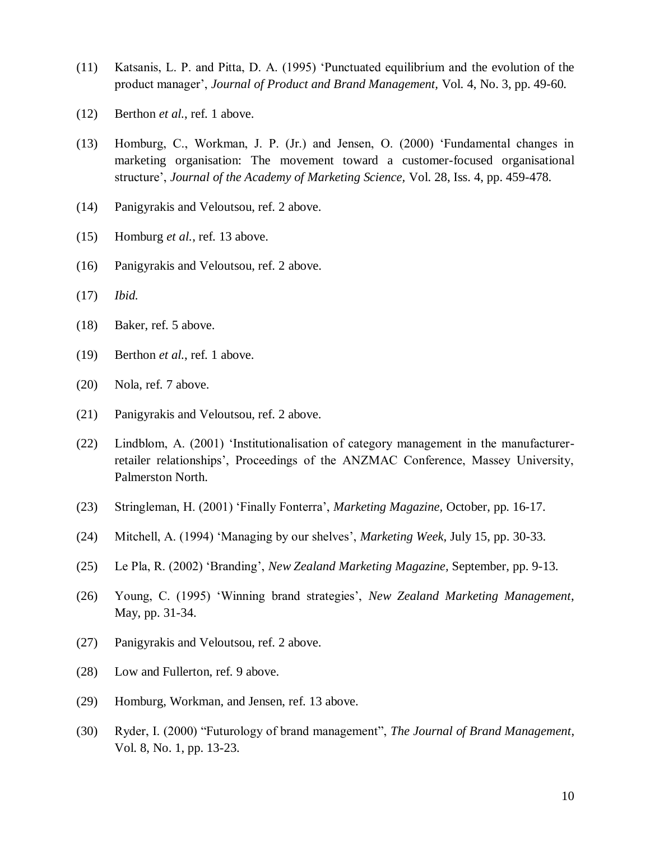- (11) Katsanis, L. P. and Pitta, D. A. (1995) "Punctuated equilibrium and the evolution of the product manager", *Journal of Product and Brand Management,* Vol. 4, No. 3, pp. 49-60.
- (12) Berthon *et al.*, ref. 1 above.
- (13) Homburg, C., Workman, J. P. (Jr.) and Jensen, O. (2000) "Fundamental changes in marketing organisation: The movement toward a customer-focused organisational structure", *Journal of the Academy of Marketing Science,* Vol. 28, Iss. 4, pp. 459-478.
- (14) Panigyrakis and Veloutsou, ref. 2 above.
- (15) Homburg *et al.*, ref. 13 above.
- (16) Panigyrakis and Veloutsou, ref. 2 above.
- (17) *Ibid.*
- (18) Baker, ref. 5 above.
- (19) Berthon *et al.*, ref. 1 above.
- (20) Nola, ref. 7 above.
- (21) Panigyrakis and Veloutsou, ref. 2 above.
- (22) Lindblom, A. (2001) "Institutionalisation of category management in the manufacturerretailer relationships', Proceedings of the ANZMAC Conference, Massey University, Palmerston North.
- (23) Stringleman, H. (2001) "Finally Fonterra", *Marketing Magazine,* October, pp. 16-17.
- (24) Mitchell, A. (1994) "Managing by our shelves", *Marketing Week*, July 15, pp. 30-33.
- (25) Le Pla, R. (2002) "Branding", *New Zealand Marketing Magazine,* September, pp. 9-13.
- (26) Young, C. (1995) "Winning brand strategies", *New Zealand Marketing Management*, May, pp. 31-34.
- (27) Panigyrakis and Veloutsou, ref. 2 above.
- (28) Low and Fullerton, ref. 9 above.
- (29) Homburg, Workman, and Jensen, ref. 13 above.
- (30) Ryder, I. (2000) "Futurology of brand management", *The Journal of Brand Management*, Vol. 8, No. 1, pp. 13-23.